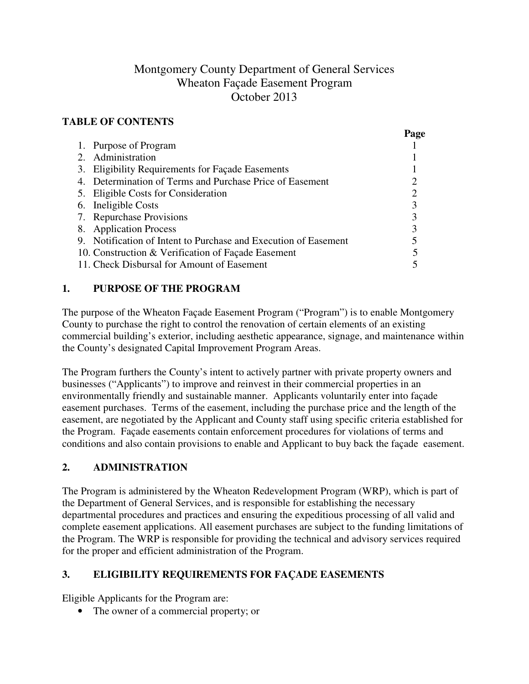# Montgomery County Department of General Services Wheaton Façade Easement Program October 2013

#### **TABLE OF CONTENTS**

|                                                                 | Page |
|-----------------------------------------------------------------|------|
| 1. Purpose of Program                                           |      |
| Administration<br>$2^{\circ}$                                   |      |
| 3. Eligibility Requirements for Façade Easements                |      |
| 4. Determination of Terms and Purchase Price of Easement        |      |
| 5. Eligible Costs for Consideration                             |      |
| 6. Ineligible Costs                                             |      |
| 7. Repurchase Provisions                                        |      |
| 8. Application Process                                          |      |
| 9. Notification of Intent to Purchase and Execution of Easement |      |
| 10. Construction & Verification of Façade Easement              |      |
| 11. Check Disbursal for Amount of Easement                      |      |

### **1. PURPOSE OF THE PROGRAM**

The purpose of the Wheaton Façade Easement Program ("Program") is to enable Montgomery County to purchase the right to control the renovation of certain elements of an existing commercial building's exterior, including aesthetic appearance, signage, and maintenance within the County's designated Capital Improvement Program Areas.

The Program furthers the County's intent to actively partner with private property owners and businesses ("Applicants") to improve and reinvest in their commercial properties in an environmentally friendly and sustainable manner. Applicants voluntarily enter into façade easement purchases. Terms of the easement, including the purchase price and the length of the easement, are negotiated by the Applicant and County staff using specific criteria established for the Program. Façade easements contain enforcement procedures for violations of terms and conditions and also contain provisions to enable and Applicant to buy back the façade easement.

# **2. ADMINISTRATION**

The Program is administered by the Wheaton Redevelopment Program (WRP), which is part of the Department of General Services, and is responsible for establishing the necessary departmental procedures and practices and ensuring the expeditious processing of all valid and complete easement applications. All easement purchases are subject to the funding limitations of the Program. The WRP is responsible for providing the technical and advisory services required for the proper and efficient administration of the Program.

# **3. ELIGIBILITY REQUIREMENTS FOR FAÇADE EASEMENTS**

Eligible Applicants for the Program are:

• The owner of a commercial property; or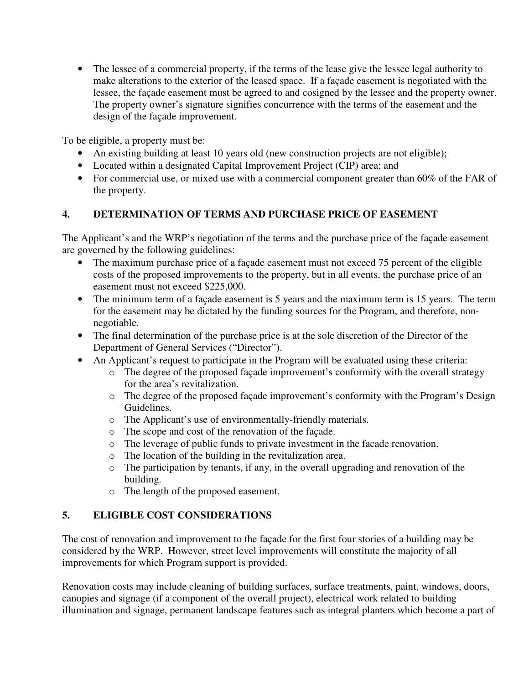• The lessee of a commercial property, if the terms of the lease give the lessee legal authority to make alterations to the exterior of the leased space. If a façade easement is negotiated with the lessee, the façade easement must be agreed to and cosigned by the lessee and the property owner. The property owner's signature signifies concurrence with the terms of the easement and the design of the façade improvement.

To be eligible, a property must be:

- An existing building at least 10 years old (new construction projects are not eligible);
- Located within a designated Capital Improvement Project (CIP) area; and
- For commercial use, or mixed use with a commercial component greater than 60% of the FAR of the property.

#### **4. DETERMINATION OF TERMS AND PURCHASE PRICE OF EASEMENT**

The Applicant's and the WRP's negotiation of the terms and the purchase price of the façade easement are governed by the following guidelines:

- The maximum purchase price of a façade easement must not exceed 75 percent of the eligible costs of the proposed improvements to the property, but in all events, the purchase price of an easement must not exceed \$225,000.
- The minimum term of a façade easement is 5 years and the maximum term is 15 years. The term for the easement may be dictated by the funding sources for the Program, and therefore, nonnegotiable.
- The final determination of the purchase price is at the sole discretion of the Director of the Department of General Services ("Director").
- An Applicant's request to participate in the Program will be evaluated using these criteria:
	- o The degree of the proposed façade improvement's conformity with the overall strategy for the area's revitalization.
	- o The degree of the proposed façade improvement's conformity with the Program's Design Guidelines.
	- o The Applicant's use of environmentally-friendly materials.
	- o The scope and cost of the renovation of the façade.
	- o The leverage of public funds to private investment in the facade renovation.
	- o The location of the building in the revitalization area.
	- o The participation by tenants, if any, in the overall upgrading and renovation of the building.
	- o The length of the proposed easement.

#### **5. ELIGIBLE COST CONSIDERATIONS**

The cost of renovation and improvement to the façade for the first four stories of a building may be considered by the WRP. However, street level improvements will constitute the majority of all improvements for which Program support is provided.

Renovation costs may include cleaning of building surfaces, surface treatments, paint, windows, doors, canopies and signage (if a component of the overall project), electrical work related to building illumination and signage, permanent landscape features such as integral planters which become a part of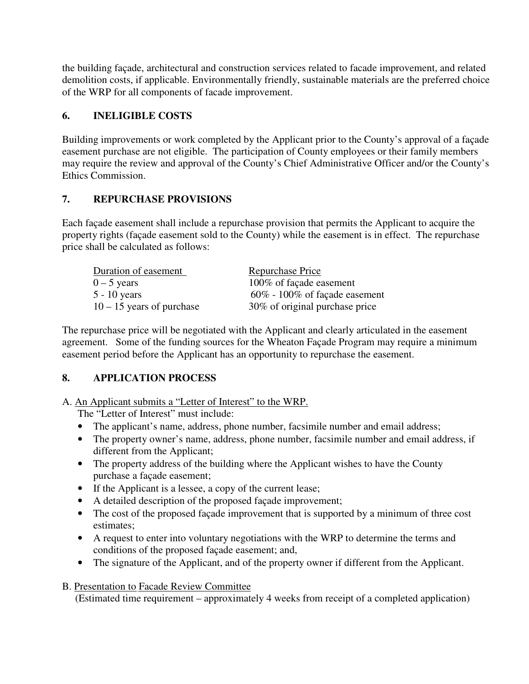the building façade, architectural and construction services related to facade improvement, and related demolition costs, if applicable. Environmentally friendly, sustainable materials are the preferred choice of the WRP for all components of facade improvement.

#### **6. INELIGIBLE COSTS**

Building improvements or work completed by the Applicant prior to the County's approval of a façade easement purchase are not eligible. The participation of County employees or their family members may require the review and approval of the County's Chief Administrative Officer and/or the County's Ethics Commission.

#### **7. REPURCHASE PROVISIONS**

Each façade easement shall include a repurchase provision that permits the Applicant to acquire the property rights (façade easement sold to the County) while the easement is in effect. The repurchase price shall be calculated as follows:

| Duration of easement        | Repurchase Price                 |
|-----------------------------|----------------------------------|
| $0 - 5$ years               | 100% of façade easement          |
| $5 - 10$ years              | $60\%$ - 100% of façade easement |
| $10 - 15$ years of purchase | 30% of original purchase price   |

The repurchase price will be negotiated with the Applicant and clearly articulated in the easement agreement. Some of the funding sources for the Wheaton Façade Program may require a minimum easement period before the Applicant has an opportunity to repurchase the easement.

#### **8. APPLICATION PROCESS**

A. An Applicant submits a "Letter of Interest" to the WRP.

The "Letter of Interest" must include:

- The applicant's name, address, phone number, facsimile number and email address;
- The property owner's name, address, phone number, facsimile number and email address, if different from the Applicant;
- The property address of the building where the Applicant wishes to have the County purchase a façade easement;
- If the Applicant is a lessee, a copy of the current lease;
- A detailed description of the proposed façade improvement;
- The cost of the proposed façade improvement that is supported by a minimum of three cost estimates;
- A request to enter into voluntary negotiations with the WRP to determine the terms and conditions of the proposed façade easement; and,
- The signature of the Applicant, and of the property owner if different from the Applicant.

#### B. Presentation to Facade Review Committee

(Estimated time requirement – approximately 4 weeks from receipt of a completed application)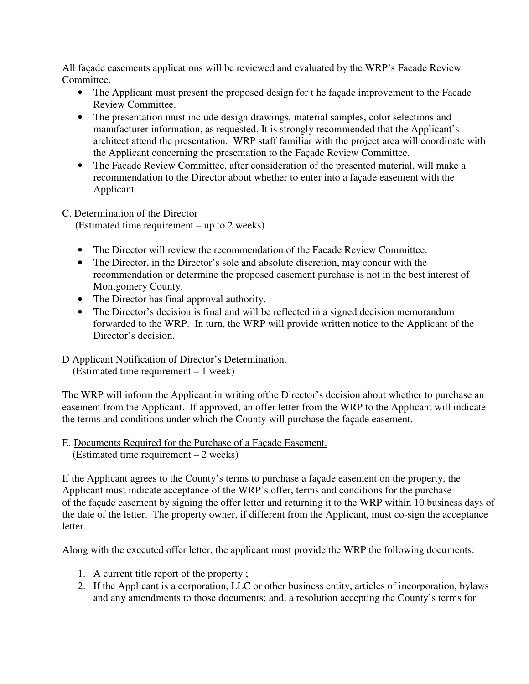All façade easements applications will be reviewed and evaluated by the WRP's Facade Review Committee.

- The Applicant must present the proposed design for the façade improvement to the Facade Review Committee.
- The presentation must include design drawings, material samples, color selections and manufacturer information, as requested. It is strongly recommended that the Applicant's architect attend the presentation. WRP staff familiar with the project area will coordinate with the Applicant concerning the presentation to the Façade Review Committee.
- The Facade Review Committee, after consideration of the presented material, will make a recommendation to the Director about whether to enter into a façade easement with the Applicant.

# C. Determination of the Director

(Estimated time requirement – up to 2 weeks)

- The Director will review the recommendation of the Facade Review Committee.
- The Director, in the Director's sole and absolute discretion, may concur with the recommendation or determine the proposed easement purchase is not in the best interest of Montgomery County.
- The Director has final approval authority.
- The Director's decision is final and will be reflected in a signed decision memorandum forwarded to the WRP. In turn, the WRP will provide written notice to the Applicant of the Director's decision.

#### D Applicant Notification of Director's Determination.

(Estimated time requirement – 1 week)

The WRP will inform the Applicant in writing ofthe Director's decision about whether to purchase an easement from the Applicant. If approved, an offer letter from the WRP to the Applicant will indicate the terms and conditions under which the County will purchase the façade easement.

#### E. Documents Required for the Purchase of a Façade Easement. (Estimated time requirement – 2 weeks)

If the Applicant agrees to the County's terms to purchase a façade easement on the property, the Applicant must indicate acceptance of the WRP's offer, terms and conditions for the purchase of the façade easement by signing the offer letter and returning it to the WRP within 10 business days of the date of the letter. The property owner, if different from the Applicant, must co-sign the acceptance letter.

Along with the executed offer letter, the applicant must provide the WRP the following documents:

- 1. A current title report of the property ;
- 2. If the Applicant is a corporation, LLC or other business entity, articles of incorporation, bylaws and any amendments to those documents; and, a resolution accepting the County's terms for